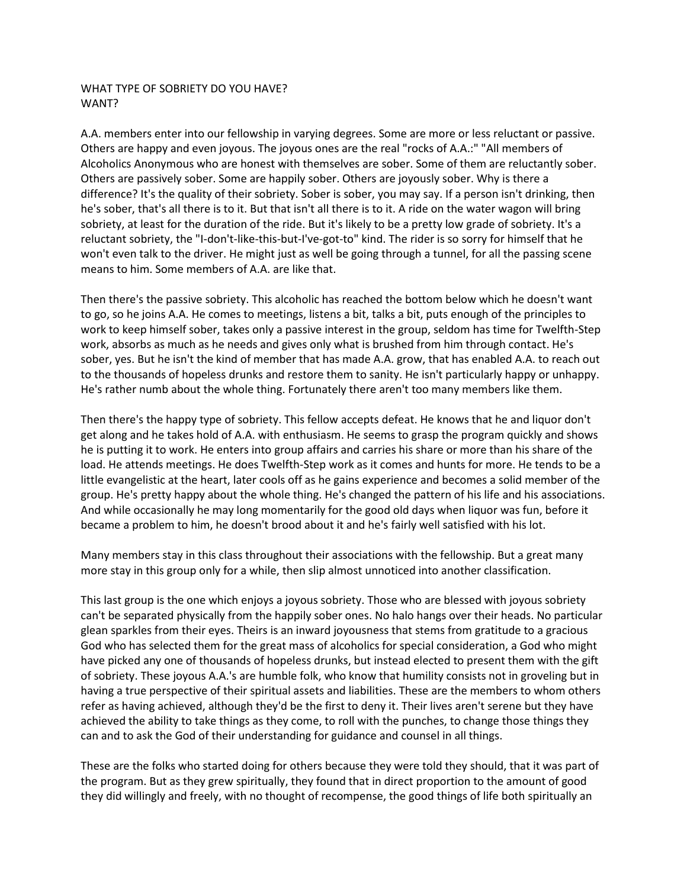## WHAT TYPE OF SOBRIETY DO YOU HAVE? WANT?

A.A. members enter into our fellowship in varying degrees. Some are more or less reluctant or passive. Others are happy and even joyous. The joyous ones are the real "rocks of A.A.:" "All members of Alcoholics Anonymous who are honest with themselves are sober. Some of them are reluctantly sober. Others are passively sober. Some are happily sober. Others are joyously sober. Why is there a difference? It's the quality of their sobriety. Sober is sober, you may say. If a person isn't drinking, then he's sober, that's all there is to it. But that isn't all there is to it. A ride on the water wagon will bring sobriety, at least for the duration of the ride. But it's likely to be a pretty low grade of sobriety. It's a reluctant sobriety, the "I-don't-like-this-but-I've-got-to" kind. The rider is so sorry for himself that he won't even talk to the driver. He might just as well be going through a tunnel, for all the passing scene means to him. Some members of A.A. are like that.

Then there's the passive sobriety. This alcoholic has reached the bottom below which he doesn't want to go, so he joins A.A. He comes to meetings, listens a bit, talks a bit, puts enough of the principles to work to keep himself sober, takes only a passive interest in the group, seldom has time for Twelfth-Step work, absorbs as much as he needs and gives only what is brushed from him through contact. He's sober, yes. But he isn't the kind of member that has made A.A. grow, that has enabled A.A. to reach out to the thousands of hopeless drunks and restore them to sanity. He isn't particularly happy or unhappy. He's rather numb about the whole thing. Fortunately there aren't too many members like them.

Then there's the happy type of sobriety. This fellow accepts defeat. He knows that he and liquor don't get along and he takes hold of A.A. with enthusiasm. He seems to grasp the program quickly and shows he is putting it to work. He enters into group affairs and carries his share or more than his share of the load. He attends meetings. He does Twelfth-Step work as it comes and hunts for more. He tends to be a little evangelistic at the heart, later cools off as he gains experience and becomes a solid member of the group. He's pretty happy about the whole thing. He's changed the pattern of his life and his associations. And while occasionally he may long momentarily for the good old days when liquor was fun, before it became a problem to him, he doesn't brood about it and he's fairly well satisfied with his lot.

Many members stay in this class throughout their associations with the fellowship. But a great many more stay in this group only for a while, then slip almost unnoticed into another classification.

This last group is the one which enjoys a joyous sobriety. Those who are blessed with joyous sobriety can't be separated physically from the happily sober ones. No halo hangs over their heads. No particular glean sparkles from their eyes. Theirs is an inward joyousness that stems from gratitude to a gracious God who has selected them for the great mass of alcoholics for special consideration, a God who might have picked any one of thousands of hopeless drunks, but instead elected to present them with the gift of sobriety. These joyous A.A.'s are humble folk, who know that humility consists not in groveling but in having a true perspective of their spiritual assets and liabilities. These are the members to whom others refer as having achieved, although they'd be the first to deny it. Their lives aren't serene but they have achieved the ability to take things as they come, to roll with the punches, to change those things they can and to ask the God of their understanding for guidance and counsel in all things.

These are the folks who started doing for others because they were told they should, that it was part of the program. But as they grew spiritually, they found that in direct proportion to the amount of good they did willingly and freely, with no thought of recompense, the good things of life both spiritually an